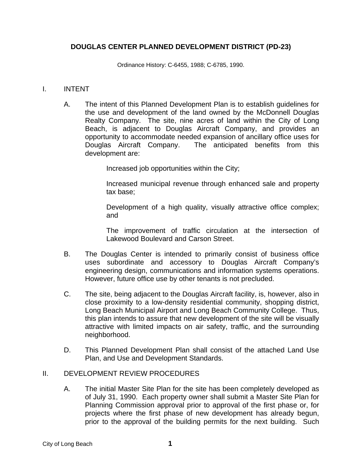## **DOUGLAS CENTER PLANNED DEVELOPMENT DISTRICT (PD-23)**

Ordinance History: C-6455, 1988; C-6785, 1990.

#### I. INTENT

A. The intent of this Planned Development Plan is to establish guidelines for the use and development of the land owned by the McDonnell Douglas Realty Company. The site, nine acres of land within the City of Long Beach, is adjacent to Douglas Aircraft Company, and provides an opportunity to accommodate needed expansion of ancillary office uses for Douglas Aircraft Company. The anticipated benefits from this development are:

Increased job opportunities within the City;

Increased municipal revenue through enhanced sale and property tax base;

Development of a high quality, visually attractive office complex; and

The improvement of traffic circulation at the intersection of Lakewood Boulevard and Carson Street.

- B. The Douglas Center is intended to primarily consist of business office uses subordinate and accessory to Douglas Aircraft Company's engineering design, communications and information systems operations. However, future office use by other tenants is not precluded.
- C. The site, being adjacent to the Douglas Aircraft facility, is, however, also in close proximity to a low-density residential community, shopping district, Long Beach Municipal Airport and Long Beach Community College. Thus, this plan intends to assure that new development of the site will be visually attractive with limited impacts on air safety, traffic, and the surrounding neighborhood.
- D. This Planned Development Plan shall consist of the attached Land Use Plan, and Use and Development Standards.

#### II. DEVELOPMENT REVIEW PROCEDURES

A. The initial Master Site Plan for the site has been completely developed as of July 31, 1990. Each property owner shall submit a Master Site Plan for Planning Commission approval prior to approval of the first phase or, for projects where the first phase of new development has already begun, prior to the approval of the building permits for the next building. Such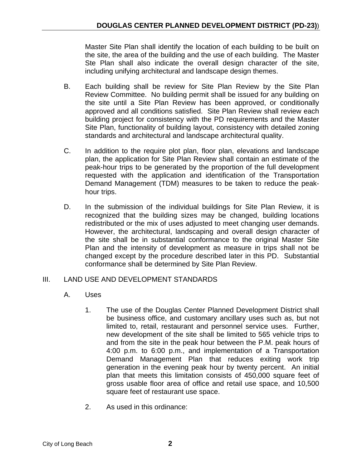Master Site Plan shall identify the location of each building to be built on the site, the area of the building and the use of each building. The Master Ste Plan shall also indicate the overall design character of the site, including unifying architectural and landscape design themes.

- B. Each building shall be review for Site Plan Review by the Site Plan Review Committee. No building permit shall be issued for any building on the site until a Site Plan Review has been approved, or conditionally approved and all conditions satisfied. Site Plan Review shall review each building project for consistency with the PD requirements and the Master Site Plan, functionality of building layout, consistency with detailed zoning standards and architectural and landscape architectural quality.
- C. In addition to the require plot plan, floor plan, elevations and landscape plan, the application for Site Plan Review shall contain an estimate of the peak-hour trips to be generated by the proportion of the full development requested with the application and identification of the Transportation Demand Management (TDM) measures to be taken to reduce the peakhour trips.
- D. In the submission of the individual buildings for Site Plan Review, it is recognized that the building sizes may be changed, building locations redistributed or the mix of uses adjusted to meet changing user demands. However, the architectural, landscaping and overall design character of the site shall be in substantial conformance to the original Master Site Plan and the intensity of development as measure in trips shall not be changed except by the procedure described later in this PD. Substantial conformance shall be determined by Site Plan Review.

# III. LAND USE AND DEVELOPMENT STANDARDS

- A. Uses
	- 1. The use of the Douglas Center Planned Development District shall be business office, and customary ancillary uses such as, but not limited to, retail, restaurant and personnel service uses. Further, new development of the site shall be limited to 565 vehicle trips to and from the site in the peak hour between the P.M. peak hours of 4:00 p.m. to 6:00 p.m., and implementation of a Transportation Demand Management Plan that reduces exiting work trip generation in the evening peak hour by twenty percent. An initial plan that meets this limitation consists of 450,000 square feet of gross usable floor area of office and retail use space, and 10,500 square feet of restaurant use space.
	- 2. As used in this ordinance: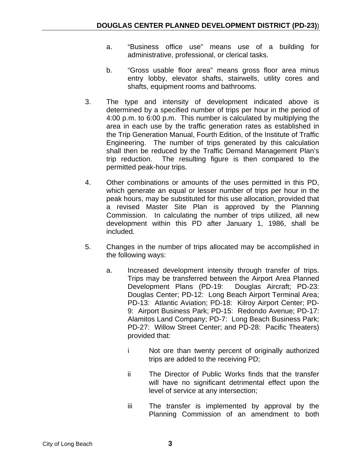- a. "Business office use" means use of a building for administrative, professional, or clerical tasks.
- b. "Gross usable floor area" means gross floor area minus entry lobby, elevator shafts, stairwells, utility cores and shafts, equipment rooms and bathrooms.
- 3. The type and intensity of development indicated above is determined by a specified number of trips per hour in the period of 4:00 p.m. to 6:00 p.m. This number is calculated by multiplying the area in each use by the traffic generation rates as established in the Trip Generation Manual, Fourth Edition, of the Institute of Traffic Engineering. The number of trips generated by this calculation shall then be reduced by the Traffic Demand Management Plan's trip reduction. The resulting figure is then compared to the permitted peak-hour trips.
- 4. Other combinations or amounts of the uses permitted in this PD, which generate an equal or lesser number of trips per hour in the peak hours, may be substituted for this use allocation, provided that a revised Master Site Plan is approved by the Planning Commission. In calculating the number of trips utilized, all new development within this PD after January 1, 1986, shall be included.
- 5. Changes in the number of trips allocated may be accomplished in the following ways:
	- a. Increased development intensity through transfer of trips. Trips may be transferred between the Airport Area Planned Development Plans (PD-19: Douglas Aircraft; PD-23: Douglas Center; PD-12: Long Beach Airport Terminal Area; PD-13: Atlantic Aviation; PD-18: Kilroy Airport Center; PD-9: Airport Business Park; PD-15: Redondo Avenue; PD-17: Alamitos Land Company; PD-7: Long Beach Business Park; PD-27: Willow Street Center; and PD-28: Pacific Theaters) provided that:
		- i Not ore than twenty percent of originally authorized trips are added to the receiving PD;
		- ii The Director of Public Works finds that the transfer will have no significant detrimental effect upon the level of service at any intersection;
		- iii The transfer is implemented by approval by the Planning Commission of an amendment to both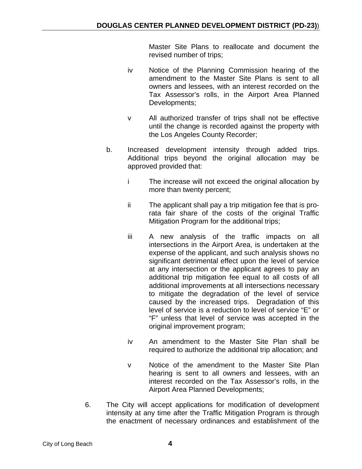Master Site Plans to reallocate and document the revised number of trips;

- iv Notice of the Planning Commission hearing of the amendment to the Master Site Plans is sent to all owners and lessees, with an interest recorded on the Tax Assessor's rolls, in the Airport Area Planned Developments;
- v All authorized transfer of trips shall not be effective until the change is recorded against the property with the Los Angeles County Recorder;
- b. Increased development intensity through added trips. Additional trips beyond the original allocation may be approved provided that:
	- i The increase will not exceed the original allocation by more than twenty percent;
	- ii The applicant shall pay a trip mitigation fee that is prorata fair share of the costs of the original Traffic Mitigation Program for the additional trips;
	- iii A new analysis of the traffic impacts on all intersections in the Airport Area, is undertaken at the expense of the applicant, and such analysis shows no significant detrimental effect upon the level of service at any intersection or the applicant agrees to pay an additional trip mitigation fee equal to all costs of all additional improvements at all intersections necessary to mitigate the degradation of the level of service caused by the increased trips. Degradation of this level of service is a reduction to level of service "E" or "F" unless that level of service was accepted in the original improvement program;
	- iv An amendment to the Master Site Plan shall be required to authorize the additional trip allocation; and
	- v Notice of the amendment to the Master Site Plan hearing is sent to all owners and lessees, with an interest recorded on the Tax Assessor's rolls, in the Airport Area Planned Developments;
- 6. The City will accept applications for modification of development intensity at any time after the Traffic Mitigation Program is through the enactment of necessary ordinances and establishment of the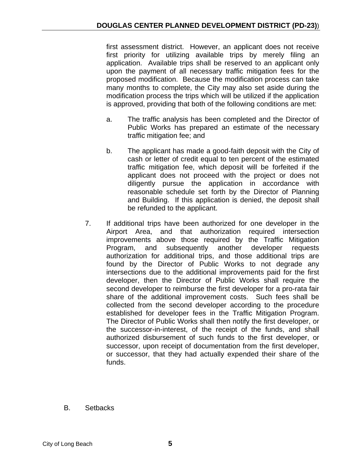first assessment district. However, an applicant does not receive first priority for utilizing available trips by merely filing an application. Available trips shall be reserved to an applicant only upon the payment of all necessary traffic mitigation fees for the proposed modification. Because the modification process can take many months to complete, the City may also set aside during the modification process the trips which will be utilized if the application is approved, providing that both of the following conditions are met:

- a. The traffic analysis has been completed and the Director of Public Works has prepared an estimate of the necessary traffic mitigation fee; and
- b. The applicant has made a good-faith deposit with the City of cash or letter of credit equal to ten percent of the estimated traffic mitigation fee, which deposit will be forfeited if the applicant does not proceed with the project or does not diligently pursue the application in accordance with reasonable schedule set forth by the Director of Planning and Building. If this application is denied, the deposit shall be refunded to the applicant.
- 7. If additional trips have been authorized for one developer in the Airport Area, and that authorization required intersection improvements above those required by the Traffic Mitigation Program, and subsequently another developer requests authorization for additional trips, and those additional trips are found by the Director of Public Works to not degrade any intersections due to the additional improvements paid for the first developer, then the Director of Public Works shall require the second developer to reimburse the first developer for a pro-rata fair share of the additional improvement costs. Such fees shall be collected from the second developer according to the procedure established for developer fees in the Traffic Mitigation Program. The Director of Public Works shall then notify the first developer, or the successor-in-interest, of the receipt of the funds, and shall authorized disbursement of such funds to the first developer, or successor, upon receipt of documentation from the first developer, or successor, that they had actually expended their share of the funds.
- B. Setbacks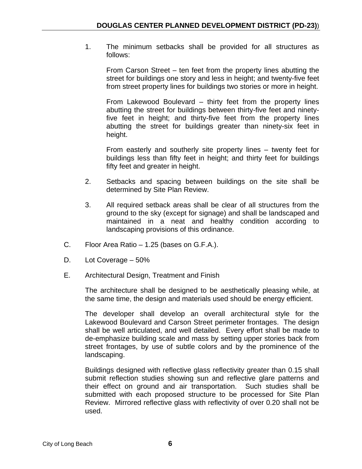1. The minimum setbacks shall be provided for all structures as follows:

From Carson Street – ten feet from the property lines abutting the street for buildings one story and less in height; and twenty-five feet from street property lines for buildings two stories or more in height.

From Lakewood Boulevard – thirty feet from the property lines abutting the street for buildings between thirty-five feet and ninetyfive feet in height; and thirty-five feet from the property lines abutting the street for buildings greater than ninety-six feet in height.

From easterly and southerly site property lines – twenty feet for buildings less than fifty feet in height; and thirty feet for buildings fifty feet and greater in height.

- 2. Setbacks and spacing between buildings on the site shall be determined by Site Plan Review.
- 3. All required setback areas shall be clear of all structures from the ground to the sky (except for signage) and shall be landscaped and maintained in a neat and healthy condition according to landscaping provisions of this ordinance.
- C. Floor Area Ratio 1.25 (bases on G.F.A.).
- D. Lot Coverage 50%
- E. Architectural Design, Treatment and Finish

The architecture shall be designed to be aesthetically pleasing while, at the same time, the design and materials used should be energy efficient.

The developer shall develop an overall architectural style for the Lakewood Boulevard and Carson Street perimeter frontages. The design shall be well articulated, and well detailed. Every effort shall be made to de-emphasize building scale and mass by setting upper stories back from street frontages, by use of subtle colors and by the prominence of the landscaping.

Buildings designed with reflective glass reflectivity greater than 0.15 shall submit reflection studies showing sun and reflective glare patterns and their effect on ground and air transportation. Such studies shall be submitted with each proposed structure to be processed for Site Plan Review. Mirrored reflective glass with reflectivity of over 0.20 shall not be used.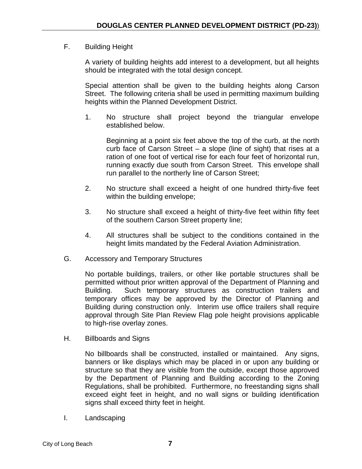# F. Building Height

A variety of building heights add interest to a development, but all heights should be integrated with the total design concept.

Special attention shall be given to the building heights along Carson Street. The following criteria shall be used in permitting maximum building heights within the Planned Development District.

1. No structure shall project beyond the triangular envelope established below.

Beginning at a point six feet above the top of the curb, at the north curb face of Carson Street – a slope (line of sight) that rises at a ration of one foot of vertical rise for each four feet of horizontal run, running exactly due south from Carson Street. This envelope shall run parallel to the northerly line of Carson Street;

- 2. No structure shall exceed a height of one hundred thirty-five feet within the building envelope;
- 3. No structure shall exceed a height of thirty-five feet within fifty feet of the southern Carson Street property line;
- 4. All structures shall be subject to the conditions contained in the height limits mandated by the Federal Aviation Administration.
- G. Accessory and Temporary Structures

No portable buildings, trailers, or other like portable structures shall be permitted without prior written approval of the Department of Planning and Building. Such temporary structures as construction trailers and temporary offices may be approved by the Director of Planning and Building during construction only. Interim use office trailers shall require approval through Site Plan Review Flag pole height provisions applicable to high-rise overlay zones.

H. Billboards and Signs

No billboards shall be constructed, installed or maintained. Any signs, banners or like displays which may be placed in or upon any building or structure so that they are visible from the outside, except those approved by the Department of Planning and Building according to the Zoning Regulations, shall be prohibited. Furthermore, no freestanding signs shall exceed eight feet in height, and no wall signs or building identification signs shall exceed thirty feet in height.

I. Landscaping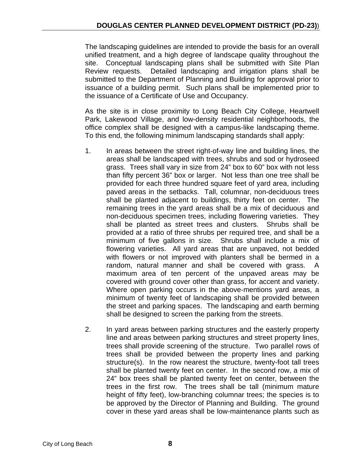The landscaping guidelines are intended to provide the basis for an overall unified treatment, and a high degree of landscape quality throughout the site. Conceptual landscaping plans shall be submitted with Site Plan Review requests. Detailed landscaping and irrigation plans shall be submitted to the Department of Planning and Building for approval prior to issuance of a building permit. Such plans shall be implemented prior to the issuance of a Certificate of Use and Occupancy.

As the site is in close proximity to Long Beach City College, Heartwell Park, Lakewood Village, and low-density residential neighborhoods, the office complex shall be designed with a campus-like landscaping theme. To this end, the following minimum landscaping standards shall apply:

- 1. In areas between the street right-of-way line and building lines, the areas shall be landscaped with trees, shrubs and sod or hydroseed grass. Trees shall vary in size from 24" box to 60" box with not less than fifty percent 36" box or larger. Not less than one tree shall be provided for each three hundred square feet of yard area, including paved areas in the setbacks. Tall, columnar, non-deciduous trees shall be planted adjacent to buildings, thirty feet on center. The remaining trees in the yard areas shall be a mix of deciduous and non-deciduous specimen trees, including flowering varieties. They shall be planted as street trees and clusters. Shrubs shall be provided at a ratio of three shrubs per required tree, and shall be a minimum of five gallons in size. Shrubs shall include a mix of flowering varieties. All yard areas that are unpaved, not bedded with flowers or not improved with planters shall be bermed in a random, natural manner and shall be covered with grass. A maximum area of ten percent of the unpaved areas may be covered with ground cover other than grass, for accent and variety. Where open parking occurs in the above-mentions yard areas, a minimum of twenty feet of landscaping shall be provided between the street and parking spaces. The landscaping and earth berming shall be designed to screen the parking from the streets.
- 2. In yard areas between parking structures and the easterly property line and areas between parking structures and street property lines, trees shall provide screening of the structure. Two parallel rows of trees shall be provided between the property lines and parking structure(s). In the row nearest the structure, twenty-foot tall trees shall be planted twenty feet on center. In the second row, a mix of 24" box trees shall be planted twenty feet on center, between the trees in the first row. The trees shall be tall (minimum mature height of fifty feet), low-branching columnar trees; the species is to be approved by the Director of Planning and Building. The ground cover in these yard areas shall be low-maintenance plants such as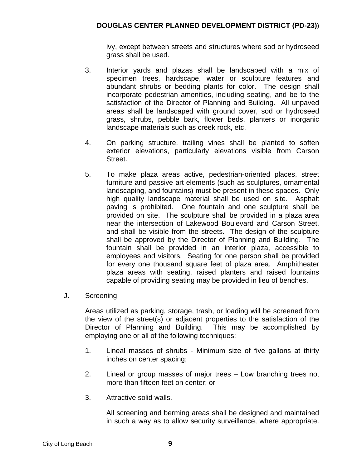ivy, except between streets and structures where sod or hydroseed grass shall be used.

- 3. Interior yards and plazas shall be landscaped with a mix of specimen trees, hardscape, water or sculpture features and abundant shrubs or bedding plants for color. The design shall incorporate pedestrian amenities, including seating, and be to the satisfaction of the Director of Planning and Building. All unpaved areas shall be landscaped with ground cover, sod or hydroseed grass, shrubs, pebble bark, flower beds, planters or inorganic landscape materials such as creek rock, etc.
- 4. On parking structure, trailing vines shall be planted to soften exterior elevations, particularly elevations visible from Carson Street.
- 5. To make plaza areas active, pedestrian-oriented places, street furniture and passive art elements (such as sculptures, ornamental landscaping, and fountains) must be present in these spaces. Only high quality landscape material shall be used on site. Asphalt paving is prohibited. One fountain and one sculpture shall be provided on site. The sculpture shall be provided in a plaza area near the intersection of Lakewood Boulevard and Carson Street, and shall be visible from the streets. The design of the sculpture shall be approved by the Director of Planning and Building. The fountain shall be provided in an interior plaza, accessible to employees and visitors. Seating for one person shall be provided for every one thousand square feet of plaza area. Amphitheater plaza areas with seating, raised planters and raised fountains capable of providing seating may be provided in lieu of benches.
- J. Screening

Areas utilized as parking, storage, trash, or loading will be screened from the view of the street(s) or adjacent properties to the satisfaction of the Director of Planning and Building. This may be accomplished by employing one or all of the following techniques:

- 1. Lineal masses of shrubs Minimum size of five gallons at thirty inches on center spacing;
- 2. Lineal or group masses of major trees Low branching trees not more than fifteen feet on center; or
- 3. Attractive solid walls.

All screening and berming areas shall be designed and maintained in such a way as to allow security surveillance, where appropriate.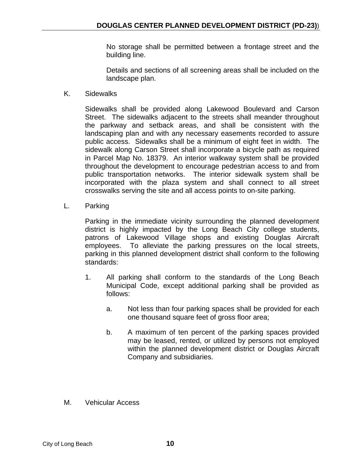No storage shall be permitted between a frontage street and the building line.

Details and sections of all screening areas shall be included on the landscape plan.

K. Sidewalks

Sidewalks shall be provided along Lakewood Boulevard and Carson Street. The sidewalks adjacent to the streets shall meander throughout the parkway and setback areas, and shall be consistent with the landscaping plan and with any necessary easements recorded to assure public access. Sidewalks shall be a minimum of eight feet in width. The sidewalk along Carson Street shall incorporate a bicycle path as required in Parcel Map No. 18379. An interior walkway system shall be provided throughout the development to encourage pedestrian access to and from public transportation networks. The interior sidewalk system shall be incorporated with the plaza system and shall connect to all street crosswalks serving the site and all access points to on-site parking.

L. Parking

Parking in the immediate vicinity surrounding the planned development district is highly impacted by the Long Beach City college students, patrons of Lakewood Village shops and existing Douglas Aircraft employees. To alleviate the parking pressures on the local streets, parking in this planned development district shall conform to the following standards:

- 1. All parking shall conform to the standards of the Long Beach Municipal Code, except additional parking shall be provided as follows:
	- a. Not less than four parking spaces shall be provided for each one thousand square feet of gross floor area;
	- b. A maximum of ten percent of the parking spaces provided may be leased, rented, or utilized by persons not employed within the planned development district or Douglas Aircraft Company and subsidiaries.
- M. Vehicular Access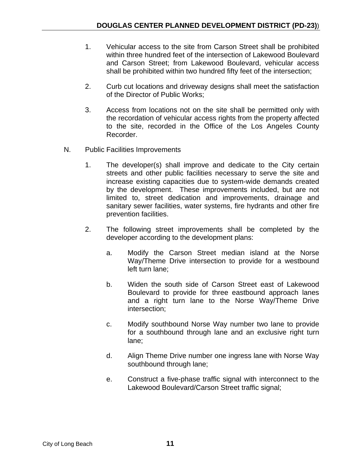- 1. Vehicular access to the site from Carson Street shall be prohibited within three hundred feet of the intersection of Lakewood Boulevard and Carson Street; from Lakewood Boulevard, vehicular access shall be prohibited within two hundred fifty feet of the intersection;
- 2. Curb cut locations and driveway designs shall meet the satisfaction of the Director of Public Works;
- 3. Access from locations not on the site shall be permitted only with the recordation of vehicular access rights from the property affected to the site, recorded in the Office of the Los Angeles County Recorder.
- N. Public Facilities Improvements
	- 1. The developer(s) shall improve and dedicate to the City certain streets and other public facilities necessary to serve the site and increase existing capacities due to system-wide demands created by the development. These improvements included, but are not limited to, street dedication and improvements, drainage and sanitary sewer facilities, water systems, fire hydrants and other fire prevention facilities.
	- 2. The following street improvements shall be completed by the developer according to the development plans:
		- a. Modify the Carson Street median island at the Norse Way/Theme Drive intersection to provide for a westbound left turn lane;
		- b. Widen the south side of Carson Street east of Lakewood Boulevard to provide for three eastbound approach lanes and a right turn lane to the Norse Way/Theme Drive intersection;
		- c. Modify southbound Norse Way number two lane to provide for a southbound through lane and an exclusive right turn lane;
		- d. Align Theme Drive number one ingress lane with Norse Way southbound through lane;
		- e. Construct a five-phase traffic signal with interconnect to the Lakewood Boulevard/Carson Street traffic signal;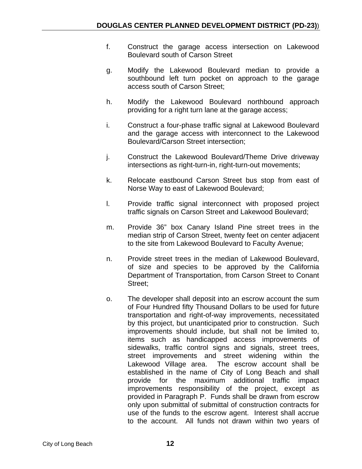- f. Construct the garage access intersection on Lakewood Boulevard south of Carson Street
- g. Modify the Lakewood Boulevard median to provide a southbound left turn pocket on approach to the garage access south of Carson Street;
- h. Modify the Lakewood Boulevard northbound approach providing for a right turn lane at the garage access;
- i. Construct a four-phase traffic signal at Lakewood Boulevard and the garage access with interconnect to the Lakewood Boulevard/Carson Street intersection;
- j. Construct the Lakewood Boulevard/Theme Drive driveway intersections as right-turn-in, right-turn-out movements;
- k. Relocate eastbound Carson Street bus stop from east of Norse Way to east of Lakewood Boulevard;
- l. Provide traffic signal interconnect with proposed project traffic signals on Carson Street and Lakewood Boulevard;
- m. Provide 36" box Canary Island Pine street trees in the median strip of Carson Street, twenty feet on center adjacent to the site from Lakewood Boulevard to Faculty Avenue;
- n. Provide street trees in the median of Lakewood Boulevard, of size and species to be approved by the California Department of Transportation, from Carson Street to Conant Street;
- o. The developer shall deposit into an escrow account the sum of Four Hundred fifty Thousand Dollars to be used for future transportation and right-of-way improvements, necessitated by this project, but unanticipated prior to construction. Such improvements should include, but shall not be limited to, items such as handicapped access improvements of sidewalks, traffic control signs and signals, street trees, street improvements and street widening within the Lakewood Village area. The escrow account shall be established in the name of City of Long Beach and shall provide for the maximum additional traffic impact improvements responsibility of the project, except as provided in Paragraph P. Funds shall be drawn from escrow only upon submittal of submittal of construction contracts for use of the funds to the escrow agent. Interest shall accrue to the account. All funds not drawn within two years of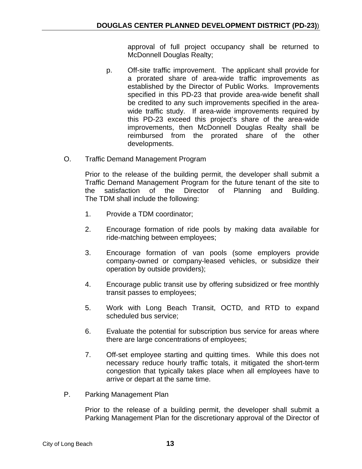approval of full project occupancy shall be returned to McDonnell Douglas Realty;

- p. Off-site traffic improvement. The applicant shall provide for a prorated share of area-wide traffic improvements as established by the Director of Public Works. Improvements specified in this PD-23 that provide area-wide benefit shall be credited to any such improvements specified in the areawide traffic study. If area-wide improvements required by this PD-23 exceed this project's share of the area-wide improvements, then McDonnell Douglas Realty shall be reimbursed from the prorated share of the other developments.
- O. Traffic Demand Management Program

Prior to the release of the building permit, the developer shall submit a Traffic Demand Management Program for the future tenant of the site to the satisfaction of the Director of Planning and Building. The TDM shall include the following:

- 1. Provide a TDM coordinator;
- 2. Encourage formation of ride pools by making data available for ride-matching between employees;
- 3. Encourage formation of van pools (some employers provide company-owned or company-leased vehicles, or subsidize their operation by outside providers);
- 4. Encourage public transit use by offering subsidized or free monthly transit passes to employees;
- 5. Work with Long Beach Transit, OCTD, and RTD to expand scheduled bus service;
- 6. Evaluate the potential for subscription bus service for areas where there are large concentrations of employees;
- 7. Off-set employee starting and quitting times. While this does not necessary reduce hourly traffic totals, it mitigated the short-term congestion that typically takes place when all employees have to arrive or depart at the same time.
- P. Parking Management Plan

Prior to the release of a building permit, the developer shall submit a Parking Management Plan for the discretionary approval of the Director of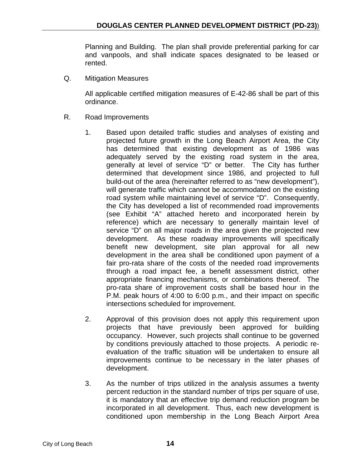Planning and Building. The plan shall provide preferential parking for car and vanpools, and shall indicate spaces designated to be leased or rented.

Q. Mitigation Measures

All applicable certified mitigation measures of E-42-86 shall be part of this ordinance.

- R. Road Improvements
	- 1. Based upon detailed traffic studies and analyses of existing and projected future growth in the Long Beach Airport Area, the City has determined that existing development as of 1986 was adequately served by the existing road system in the area, generally at level of service "D" or better. The City has further determined that development since 1986, and projected to full build-out of the area (hereinafter referred to as "new development"), will generate traffic which cannot be accommodated on the existing road system while maintaining level of service "D". Consequently, the City has developed a list of recommended road improvements (see Exhibit "A" attached hereto and incorporated herein by reference) which are necessary to generally maintain level of service "D" on all major roads in the area given the projected new development. As these roadway improvements will specifically benefit new development, site plan approval for all new development in the area shall be conditioned upon payment of a fair pro-rata share of the costs of the needed road improvements through a road impact fee, a benefit assessment district, other appropriate financing mechanisms, or combinations thereof. The pro-rata share of improvement costs shall be based hour in the P.M. peak hours of 4:00 to 6:00 p.m., and their impact on specific intersections scheduled for improvement.
	- 2. Approval of this provision does not apply this requirement upon projects that have previously been approved for building occupancy. However, such projects shall continue to be governed by conditions previously attached to those projects. A periodic reevaluation of the traffic situation will be undertaken to ensure all improvements continue to be necessary in the later phases of development.
	- 3. As the number of trips utilized in the analysis assumes a twenty percent reduction in the standard number of trips per square of use, it is mandatory that an effective trip demand reduction program be incorporated in all development. Thus, each new development is conditioned upon membership in the Long Beach Airport Area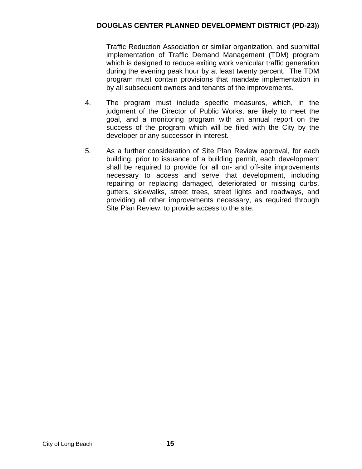Traffic Reduction Association or similar organization, and submittal implementation of Traffic Demand Management (TDM) program which is designed to reduce exiting work vehicular traffic generation during the evening peak hour by at least twenty percent. The TDM program must contain provisions that mandate implementation in by all subsequent owners and tenants of the improvements.

- 4. The program must include specific measures, which, in the judgment of the Director of Public Works, are likely to meet the goal, and a monitoring program with an annual report on the success of the program which will be filed with the City by the developer or any successor-in-interest.
- 5. As a further consideration of Site Plan Review approval, for each building, prior to issuance of a building permit, each development shall be required to provide for all on- and off-site improvements necessary to access and serve that development, including repairing or replacing damaged, deteriorated or missing curbs, gutters, sidewalks, street trees, street lights and roadways, and providing all other improvements necessary, as required through Site Plan Review, to provide access to the site.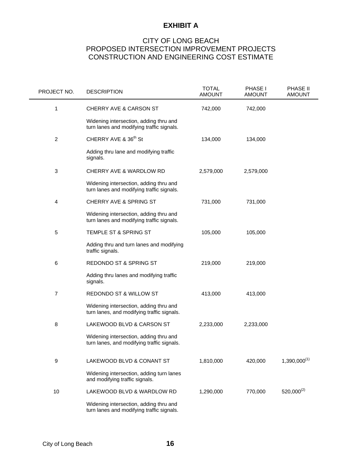### **EXHIBIT A**

# CITY OF LONG BEACH PROPOSED INTERSECTION IMPROVEMENT PROJECTS CONSTRUCTION AND ENGINEERING COST ESTIMATE

| PROJECT NO.    | <b>DESCRIPTION</b>                                                                   | <b>TOTAL</b><br><b>AMOUNT</b> | PHASE I<br><b>AMOUNT</b> | PHASE II<br><b>AMOUNT</b> |
|----------------|--------------------------------------------------------------------------------------|-------------------------------|--------------------------|---------------------------|
| 1              | CHERRY AVE & CARSON ST                                                               | 742,000                       | 742,000                  |                           |
|                | Widening intersection, adding thru and<br>turn lanes and modifying traffic signals.  |                               |                          |                           |
| $\overline{c}$ | CHERRY AVE & 36 <sup>th</sup> St                                                     | 134,000                       | 134,000                  |                           |
|                | Adding thru lane and modifying traffic<br>signals.                                   |                               |                          |                           |
| 3              | CHERRY AVE & WARDLOW RD                                                              | 2,579,000                     | 2,579,000                |                           |
|                | Widening intersection, adding thru and<br>turn lanes and modifying traffic signals.  |                               |                          |                           |
| 4              | CHERRY AVE & SPRING ST                                                               | 731,000                       | 731,000                  |                           |
|                | Widening intersection, adding thru and<br>turn lanes and modifying traffic signals.  |                               |                          |                           |
| $\mathbf 5$    | TEMPLE ST & SPRING ST                                                                | 105,000                       | 105,000                  |                           |
|                | Adding thru and turn lanes and modifying<br>traffic signals.                         |                               |                          |                           |
| 6              | REDONDO ST & SPRING ST                                                               | 219,000                       | 219,000                  |                           |
|                | Adding thru lanes and modifying traffic<br>signals.                                  |                               |                          |                           |
| $\overline{7}$ | REDONDO ST & WILLOW ST                                                               | 413,000                       | 413,000                  |                           |
|                | Widening intersection, adding thru and<br>turn lanes, and modifying traffic signals. |                               |                          |                           |
| 8              | LAKEWOOD BLVD & CARSON ST                                                            | 2,233,000                     | 2,233,000                |                           |
|                | Widening intersection, adding thru and<br>turn lanes, and modifying traffic signals. |                               |                          |                           |
| 9              | LAKEWOOD BLVD & CONANT ST                                                            | 1,810,000                     | 420,000                  | $1,390,000^{(1)}$         |
|                | Widening intersection, adding turn lanes<br>and modifying traffic signals.           |                               |                          |                           |
| 10             | LAKEWOOD BLVD & WARDLOW RD                                                           | 1,290,000                     | 770,000                  | $520,000^{(2)}$           |
|                | Widening intersection, adding thru and<br>turn lanes and modifying traffic signals.  |                               |                          |                           |

 $\blacksquare$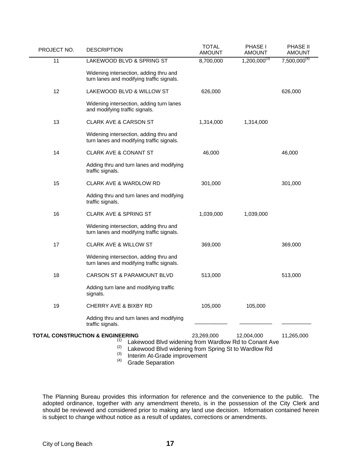| PROJECT NO.                                        | <b>DESCRIPTION</b>                                                                                                                                        | <b>TOTAL</b><br><b>AMOUNT</b> | PHASE I<br><b>AMOUNT</b> | PHASE II<br><b>AMOUNT</b> |
|----------------------------------------------------|-----------------------------------------------------------------------------------------------------------------------------------------------------------|-------------------------------|--------------------------|---------------------------|
| 11                                                 | LAKEWOOD BLVD & SPRING ST                                                                                                                                 | 8,700,000                     | $1,200,000^{(3)}$        | $7,500,000^{(4)}$         |
|                                                    | Widening intersection, adding thru and<br>turn lanes and modifying traffic signals.                                                                       |                               |                          |                           |
| 12                                                 | LAKEWOOD BLVD & WILLOW ST                                                                                                                                 | 626,000                       |                          | 626,000                   |
|                                                    | Widening intersection, adding turn lanes<br>and modifying traffic signals.                                                                                |                               |                          |                           |
| 13                                                 | <b>CLARK AVE &amp; CARSON ST</b>                                                                                                                          | 1,314,000                     | 1,314,000                |                           |
|                                                    | Widening intersection, adding thru and<br>turn lanes and modifying traffic signals.                                                                       |                               |                          |                           |
| 14                                                 | <b>CLARK AVE &amp; CONANT ST</b>                                                                                                                          | 46,000                        |                          | 46,000                    |
|                                                    | Adding thru and turn lanes and modifying<br>traffic signals.                                                                                              |                               |                          |                           |
| 15                                                 | <b>CLARK AVE &amp; WARDLOW RD</b>                                                                                                                         | 301,000                       |                          | 301,000                   |
|                                                    | Adding thru and turn lanes and modifying<br>traffic signals.                                                                                              |                               |                          |                           |
| 16                                                 | <b>CLARK AVE &amp; SPRING ST</b>                                                                                                                          | 1,039,000                     | 1,039,000                |                           |
|                                                    | Widening intersection, adding thru and<br>turn lanes and modifying traffic signals.                                                                       |                               |                          |                           |
| 17                                                 | <b>CLARK AVE &amp; WILLOW ST</b>                                                                                                                          | 369,000                       |                          | 369,000                   |
|                                                    | Widening intersection, adding thru and<br>turn lanes and modifying traffic signals.                                                                       |                               |                          |                           |
| 18                                                 | <b>CARSON ST &amp; PARAMOUNT BLVD</b>                                                                                                                     | 513,000                       |                          | 513,000                   |
|                                                    | Adding turn lane and modifying traffic<br>signals.                                                                                                        |                               |                          |                           |
| 19                                                 | <b>CHERRY AVE &amp; BIXBY RD</b>                                                                                                                          | 105,000                       | 105,000                  |                           |
|                                                    | Adding thru and turn lanes and modifying<br>traffic signals.                                                                                              |                               |                          |                           |
| <b>TOTAL CONSTRUCTION &amp; ENGINEERING</b><br>(1) |                                                                                                                                                           | 23,269,000                    | 12,004,000               | 11,265,000                |
|                                                    | Lakewood Blvd widening from Wardlow Rd to Conant Ave<br>(2)<br>Lakewood Blvd widening from Spring St to Wardlow Rd<br>(3)<br>Interim At-Grade improvement |                               |                          |                           |

(4) Grade Separation  $(4)$ 

The Planning Bureau provides this information for reference and the convenience to the public. The adopted ordinance, together with any amendment thereto, is in the possession of the City Clerk and should be reviewed and considered prior to making any land use decision. Information contained herein is subject to change without notice as a result of updates, corrections or amendments.